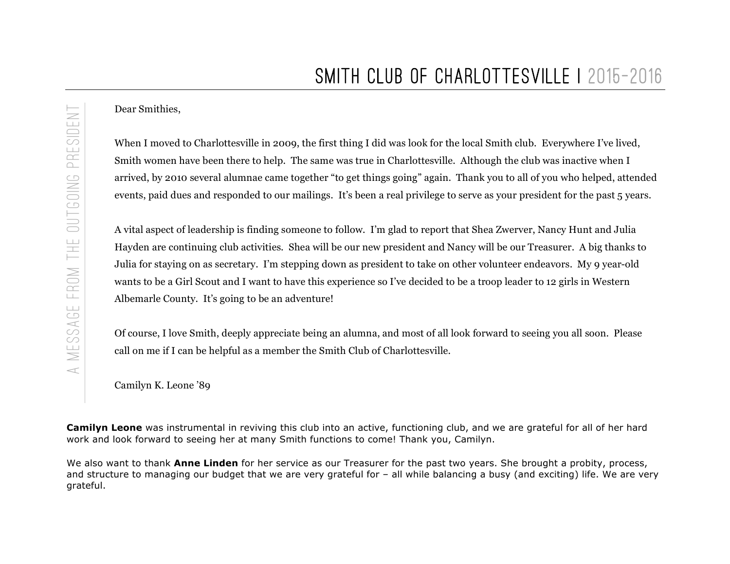Dear Smithies,

When I moved to Charlottesville in 2009, the first thing I did was look for the local Smith club. Everywhere I've lived, Smith women have been there to help. The same was true in Charlottesville. Although the club was inactive when I arrived, by 2010 several alumnae came together "to get things going" again. Thank you to all of you who helped, attended events, paid dues and responded to our mailings. It's been a real privilege to serve as your president for the past 5 years.

A vital aspect of leadership is finding someone to follow. I'm glad to report that Shea Zwerver, Nancy Hunt and Julia Hayden are continuing club activities. Shea will be our new president and Nancy will be our Treasurer. A big thanks to Julia for staying on as secretary. I'm stepping down as president to take on other volunteer endeavors. My 9 year-old wants to be a Girl Scout and I want to have this experience so I've decided to be a troop leader to 12 girls in Western Albemarle County. It's going to be an adventure!

Of course, I love Smith, deeply appreciate being an alumna, and most of all look forward to seeing you all soon. Please call on me if I can be helpful as a member the Smith Club of Charlottesville.

Camilyn K. Leone '89

**Camilyn Leone** was instrumental in reviving this club into an active, functioning club, and we are grateful for all of her hard work and look forward to seeing her at many Smith functions to come! Thank you, Camilyn.

We also want to thank **Anne Linden** for her service as our Treasurer for the past two years. She brought a probity, process, and structure to managing our budget that we are very grateful for – all while balancing a busy (and exciting) life. We are very grateful.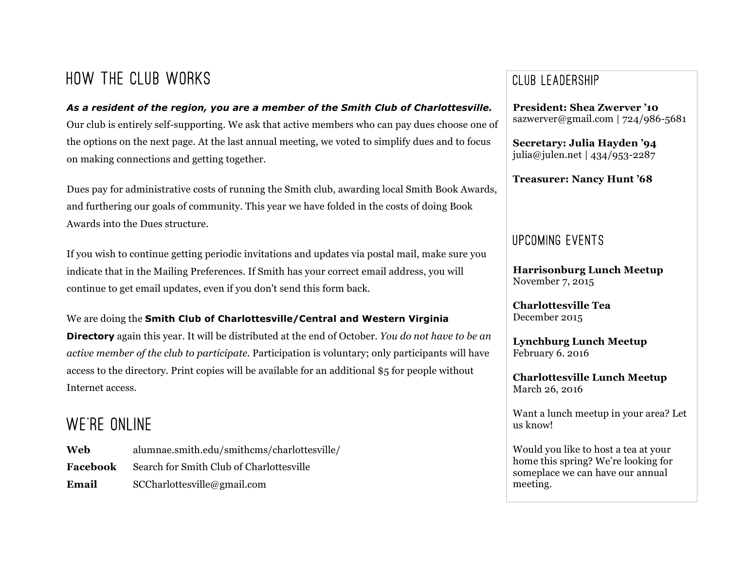# How the Club Works

## *As a resident of the region, you are a member of the Smith Club of Charlottesville.* Our club is entirely self-supporting. We ask that active members who can pay dues choose one of the options on the next page. At the last annual meeting, we voted to simplify dues and to focus on making connections and getting together.

Dues pay for administrative costs of running the Smith club, awarding local Smith Book Awards, and furthering our goals of community. This year we have folded in the costs of doing Book Awards into the Dues structure.

If you wish to continue getting periodic invitations and updates via postal mail, make sure you indicate that in the Mailing Preferences. If Smith has your correct email address, you will continue to get email updates, even if you don't send this form back.

### We are doing the **Smith Club of Charlottesville/Central and Western Virginia**

**Directory** again this year. It will be distributed at the end of October. *You do not have to be an active member of the club to participate.* Participation is voluntary; only participants will have access to the directory. Print copies will be available for an additional \$5 for people without Internet access.

# WF'RE ONLINE

**Web** alumnae.smith.edu/smithcms/charlottesville/ **Facebook** Search for Smith Club of Charlottesville **Email** SCCharlottesville@gmail.com

## Club Leadership

**President: Shea Zwerver '10** sazwerver@gmail.com | 724/986-5681

**Secretary: Julia Hayden '94** julia@julen.net | 434/953-2287

**Treasurer: Nancy Hunt '68**

## Upcoming Events

**Harrisonburg Lunch Meetup** November 7, 2015

**Charlottesville Tea** December 2015

**Lynchburg Lunch Meetup** February 6. 2016

**Charlottesville Lunch Meetup** March 26, 2016

Want a lunch meetup in your area? Let us know!

Would you like to host a tea at your home this spring? We're looking for someplace we can have our annual meeting.